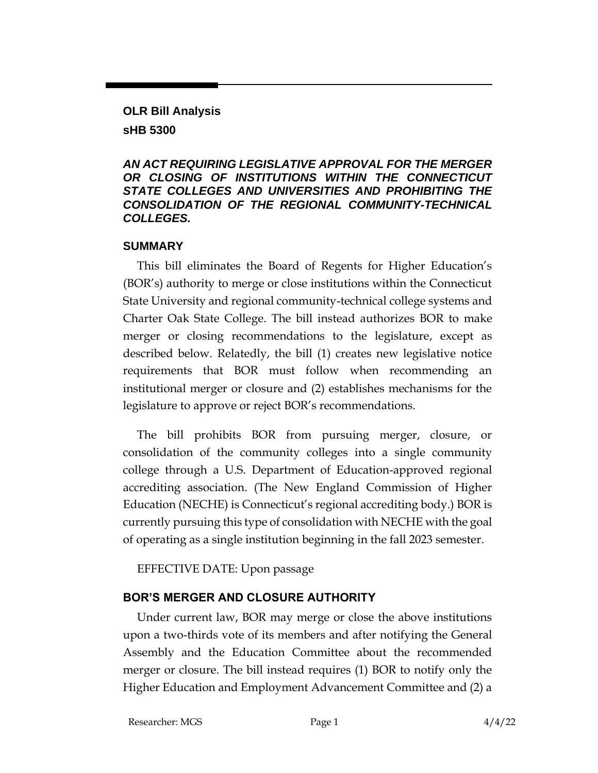### **OLR Bill Analysis sHB 5300**

#### *AN ACT REQUIRING LEGISLATIVE APPROVAL FOR THE MERGER OR CLOSING OF INSTITUTIONS WITHIN THE CONNECTICUT STATE COLLEGES AND UNIVERSITIES AND PROHIBITING THE CONSOLIDATION OF THE REGIONAL COMMUNITY-TECHNICAL COLLEGES.*

### **SUMMARY**

This bill eliminates the Board of Regents for Higher Education's (BOR's) authority to merge or close institutions within the Connecticut State University and regional community-technical college systems and Charter Oak State College. The bill instead authorizes BOR to make merger or closing recommendations to the legislature, except as described below. Relatedly, the bill (1) creates new legislative notice requirements that BOR must follow when recommending an institutional merger or closure and (2) establishes mechanisms for the legislature to approve or reject BOR's recommendations.

The bill prohibits BOR from pursuing merger, closure, or consolidation of the community colleges into a single community college through a U.S. Department of Education-approved regional accrediting association. (The New England Commission of Higher Education (NECHE) is Connecticut's regional accrediting body.) BOR is currently pursuing this type of consolidation with NECHE with the goal of operating as a single institution beginning in the fall 2023 semester.

EFFECTIVE DATE: Upon passage

# **BOR'S MERGER AND CLOSURE AUTHORITY**

Under current law, BOR may merge or close the above institutions upon a two-thirds vote of its members and after notifying the General Assembly and the Education Committee about the recommended merger or closure. The bill instead requires (1) BOR to notify only the Higher Education and Employment Advancement Committee and (2) a